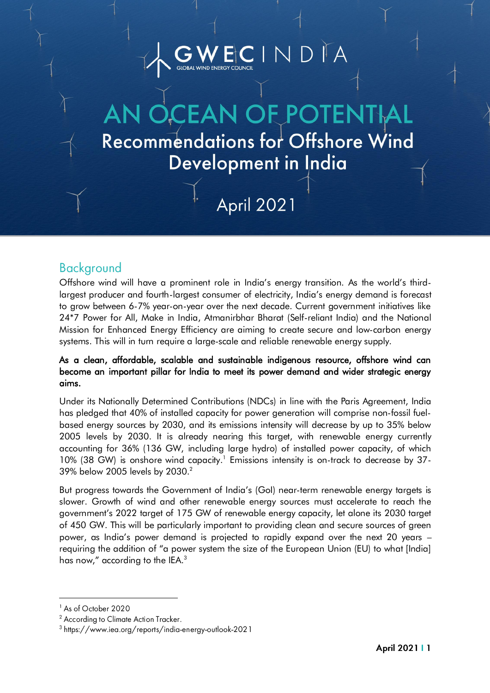## $N D <sup>T</sup> A$ -<br>پا

**Recommendations for Offshore Wind** Development in India

# **April 2021**

### **Background**

ì

Offshore wind will have a prominent role in India's energy transition. As the world's thirdlargest producer and fourth-largest consumer of electricity, India's energy demand is forecast to grow between 6-7% year-on-year over the next decade. Current government initiatives like 24\*7 Power for All, Make in India, Atmanirbhar Bharat (Self-reliant India) and the National Mission for Enhanced Energy Efficiency are aiming to create secure and low-carbon energy systems. This will in turn require a large-scale and reliable renewable energy supply.

#### As a clean, affordable, scalable and sustainable indigenous resource, offshore wind can become an important pillar for India to meet its power demand and wider strategic energy aims.

Under its Nationally Determined Contributions (NDCs) in line with the Paris Agreement, India has pledged that 40% of installed capacity for power generation will comprise non-fossil fuelbased energy sources by 2030, and its emissions intensity will decrease by up to 35% below 2005 levels by 2030. It is already nearing this target, with renewable energy currently accounting for 36% (136 GW, including large hydro) of installed power capacity, of which 10% (38 GW) is onshore wind capacity. 1 Emissions intensity is on-track to decrease by 37- 39% below 2005 levels by 2030.<sup>2</sup>

But progress towards the Government of India's (GoI) near-term renewable energy targets is slower. Growth of wind and other renewable energy sources must accelerate to reach the government's 2022 target of 175 GW of renewable energy capacity, let alone its 2030 target of 450 GW. This will be particularly important to providing clean and secure sources of green power, as India's power demand is projected to rapidly expand over the next 20 years – requiring the addition of "a power system the size of the European Union (EU) to what [India] has now," according to the IEA.<sup>3</sup>

<sup>&</sup>lt;sup>1</sup> As of October 2020

<sup>&</sup>lt;sup>2</sup> According to Climate Action Tracker.

<sup>&</sup>lt;sup>3</sup> https://www.iea.org/reports/india-energy-outlook-2021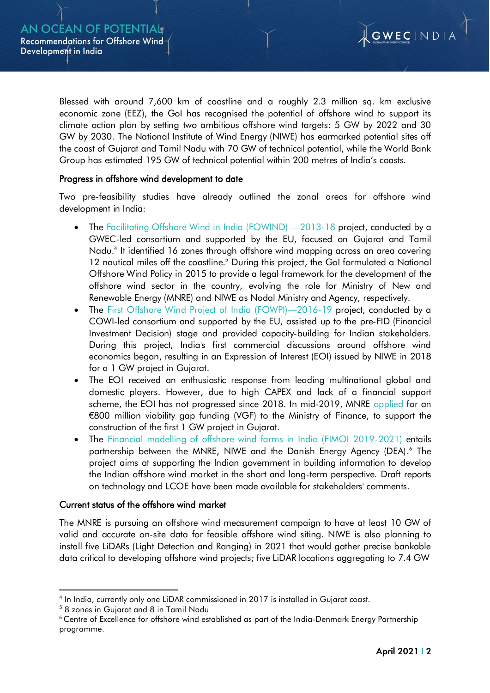

Blessed with around 7,600 km of coastline and a roughly 2.3 million sq. km exclusive economic zone (EEZ), the GoI has recognised the potential of offshore wind to support its climate action plan by [setting](https://mnre.gov.in/img/documents/uploads/42f765854e204d72bb36b46c9e0c4cfa.pdf) two ambitious offshore wind targets: 5 GW by 2022 and 30 GW by 2030. The National Institute of Wind Energy (NIWE) has [earmarked](https://mercomindia.com/gujarat-tamil-nadu-offshore-wind-energy-potential-70-gw/) potential sites off the coast of Gujarat and Tamil Nadu with 70 GW of technical potential, while the World Bank Group has [estimated](http://documents1.worldbank.org/curated/en/716891572457609829/pdf/Going-Global-Expanding-Offshore-Wind-To-Emerging-Markets.pdf) 195 GW of technical potential within 200 metres of India's coasts.

#### Progress in offshore wind development to date

Two pre-feasibility studies have already outlined the zonal areas for offshore wind development in India:

- The [Facilitating Offshore Wind in India \(FOWIND\)](https://www.cecp-eu.in/resource-center/post/fowind-website/home) -2013-18 project, conducted by a GWEC-led consortium and supported by the EU, focused on Gujarat and Tamil Nadu. 4 It identified 16 zones through offshore wind mapping across an area covering 12 nautical miles off the coastline.<sup>5</sup> During this project, the GoI formulated a National Offshore Wind Policy in 2015 to provide a legal framework for the development of the offshore wind sector in the country, evolving the role for Ministry of New and Renewable Energy (MNRE) and NIWE as Nodal Ministry and Agency, respectively.
- The [First Offshore Wind Project of India \(FOWPI\)](https://www.cecp-eu.in/resource-center/post/fowpi-website/home)-2016-19 project, conducted by a COWI-led consortium and supported by the EU, assisted up to the pre-FID (Financial Investment Decision) stage and provided capacity-building for Indian stakeholders. During this project, India's first commercial discussions around offshore wind economics began, resulting in an Expression of Interest (EOI) issued by NIWE in 2018 for a 1 GW project in Gujarat.
- The EOI received an enthusiastic response from leading multinational global and domestic players. However, due to high CAPEX and lack of a financial support scheme, the EOI has not progressed since 2018. In mid-2019, MNRE [applied](https://www.rechargenews.com/wind/india-lines-up-900m-gap-funding-for-first-offshore-wind-farm/2-1-629356) for an €800 million viability gap funding (VGF) to the Ministry of Finance, to support the construction of the first 1 GW project in Gujarat.
- The Financial modelling of offshore wind farms in India (FIMOI 2019-2021) entails partnership between the MNRE, NIWE and the Danish Energy Agency (DEA).<sup>6</sup> The project aims at supporting the Indian government in building information to develop the Indian offshore wind market in the short and long-term perspective. Draft reports on technology and LCOE have been made available for stakeholders' comments.

#### Current status of the offshore wind market

The MNRE is pursuing an offshore wind measurement campaign to have at least 10 GW of valid and accurate on-site data for feasible offshore wind siting. NIWE is also planning to install five LiDARs (Light Detection and Ranging) in 2021 that would gather precise bankable data critical to developing offshore wind projects; five LiDAR locations aggregating to 7.4 GW

<sup>4</sup> In India, currently only one LiDAR commissioned in 2017 is installed in Gujarat coast.

<sup>5</sup> 8 zones in Gujarat and 8 in Tamil Nadu

<sup>&</sup>lt;sup>6</sup> Centre of Excellence for offshore wind established as part of the India-Denmark Energy Partnership programme.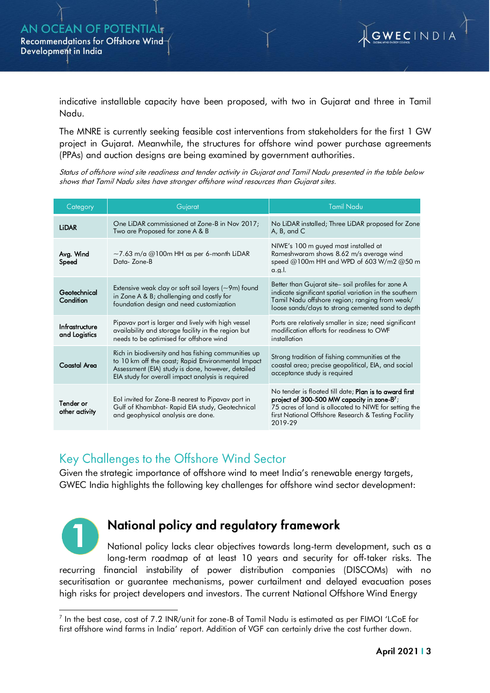

indicative installable capacity have been proposed, with two in Gujarat and three in Tamil Nadu.

The MNRE is currently seeking feasible cost interventions from stakeholders for the first 1 GW project in Gujarat. Meanwhile, the structures for offshore wind power purchase agreements (PPAs) and auction designs are being examined by government authorities.

Status of offshore wind site readiness and tender activity in Gujarat and Tamil Nadu presented in the table below shows that Tamil Nadu sites have stronger offshore wind resources than Gujarat sites.

| Category                        | Gujarat                                                                                                                                                                                                             | <b>Tamil Nadu</b>                                                                                                                                                                                                                    |
|---------------------------------|---------------------------------------------------------------------------------------------------------------------------------------------------------------------------------------------------------------------|--------------------------------------------------------------------------------------------------------------------------------------------------------------------------------------------------------------------------------------|
| <b>LiDAR</b>                    | One LiDAR commissioned at Zone-B in Nov 2017;<br>Two are Proposed for zone A & B                                                                                                                                    | No LiDAR installed; Three LiDAR proposed for Zone<br>A, B, and C                                                                                                                                                                     |
| Avg. Wind<br>Speed              | $\sim$ 7.63 m/a @100m HH as per 6-month LiDAR<br>Data-Zone-B                                                                                                                                                        | NIWE's 100 m guyed mast installed at<br>Rameshwaram shows 8.62 m/s average wind<br>speed @100m HH and WPD of 603 W/m2 @50 m<br>$a.g.$ l.                                                                                             |
| Geotechnical<br>Condition       | Extensive weak clay or soft soil layers $(\sim 9m)$ found<br>in Zone A & B; challenging and costly for<br>foundation design and need customization                                                                  | Better than Gujarat site soil profiles for zone A<br>indicate significant spatial variation in the southern<br>Tamil Nadu offshore region; ranging from weak/<br>loose sands/clays to strong cemented sand to depth                  |
| Infrastructure<br>and Logistics | Pipavav port is larger and lively with high vessel<br>availability and storage facility in the region but<br>needs to be optimised for offshore wind                                                                | Ports are relatively smaller in size; need significant<br>modification efforts for readiness to OWF<br>installation                                                                                                                  |
| <b>Coastal Area</b>             | Rich in biodiversity and has fishing communities up<br>to 10 km off the coast; Rapid Environmental Impact<br>Assessment (EIA) study is done, however, detailed<br>EIA study for overall impact analysis is required | Strong tradition of fishing communities at the<br>coastal area; precise geopolitical, EIA, and social<br>acceptance study is required                                                                                                |
| Tender or<br>other activity     | Eol invited for Zone-B nearest to Pipavav port in<br>Gulf of Khambhat- Rapid EIA study, Geotechnical<br>and geophysical analysis are done.                                                                          | No tender is floated till date; Plan is to award first<br>project of 300-500 MW capacity in zone- $B^7$ ;<br>75 acres of land is allocated to NIWE for setting the<br>first National Offshore Research & Testing Facility<br>2019-29 |

### Key Challenges to the Offshore Wind Sector

Given the strategic importance of offshore wind to meet India's renewable energy targets, GWEC India highlights the following key challenges for offshore wind sector development:



# National policy and regulatory framework

National policy lacks clear objectives towards long-term development, such as a long-term roadmap of at least 10 years and security for off-taker risks. The recurring financial instability of power distribution companies (DISCOMs) with no securitisation or guarantee mechanisms, power curtailment and delayed evacuation poses high risks for project developers and investors. The current [National Offshore Wind Energy](https://mnre.gov.in/img/documents/uploads/dd5f781d18d34b9ca796f5364f7325bb.pdf)

 $^7$  In the best case, cost of 7.2 INR/unit for zone-B of Tamil Nadu is estimated as per FIMOI 'LCoE for first offshore wind farms in India' report. Addition of VGF can certainly drive the cost further down.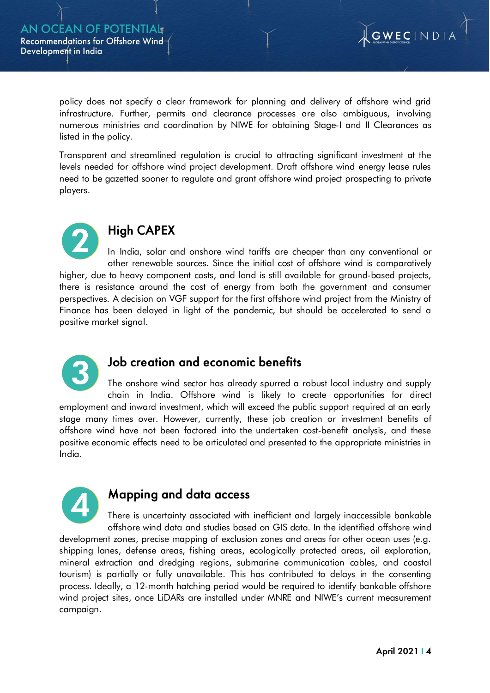

policy does not specify a clear framework for planning and delivery of offshore wind grid infrastructure. Further, permits and clearance processes are also ambiguous, involving numerous ministries and coordination by NIWE for obtaining Stage-I and II Clearances as listed in the policy.

Transparent and streamlined regulation is crucial to attracting significant investment at the levels needed for offshore wind project development. Draft offshore wind energy lease rules need to be gazetted sooner to regulate and grant offshore wind project prospecting to private players.



# **High CAPEX**

In India, solar and onshore wind tariffs are cheaper than any conventional or other renewable sources. Since the initial cost of offshore wind is comparatively higher, due to heavy component costs, and land is still available for ground-based projects, there is resistance around the cost of energy from both the government and consumer perspectives. A decision on VGF support for the first offshore wind project from the Ministry of Finance has been delayed in light of the pandemic, but should be accelerated to send a positive market signal.



### Job creation and economic benefits

The onshore wind sector has already spurred a robust local industry and supply chain in India. Offshore wind is likely to create opportunities for direct employment and inward investment, which will exceed the public support required at an early stage many times over. However, currently, these job creation or investment benefits of offshore wind have not been factored into the undertaken cost-benefit analysis, and these positive economic effects need to be articulated and presented to the appropriate ministries in India.



### Mapping and data access

There is uncertainty associated with inefficient and largely inaccessible bankable offshore wind data and studies based on GIS data. In the identified offshore wind development zones, precise mapping of exclusion zones and areas for other ocean uses (e.g. shipping lanes, defense areas, fishing areas, ecologically protected areas, oil exploration, mineral extraction and dredging regions, submarine communication cables, and coastal tourism) is partially or fully unavailable. This has contributed to delays in the consenting process. Ideally, a 12-month hatching period would be required to identify bankable offshore wind project sites, once LiDARs are installed under MNRE and NIWE's current measurement campaign.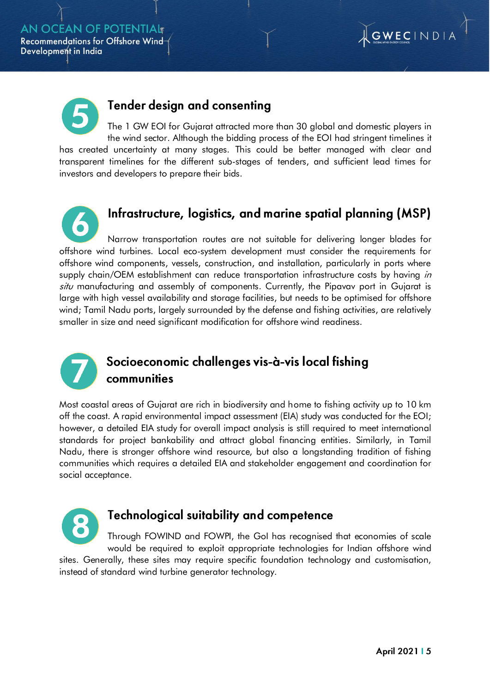



### Tender design and consenting

The 1 GW EOI for Gujarat attracted more than 30 global and domestic players in the wind sector. Although the bidding process of the EOI had stringent timelines it has created uncertainty at many stages. This could be better managed with clear and transparent timelines for the different sub-stages of tenders, and sufficient lead times for investors and developers to prepare their bids.

Infrastructure, logistics, and marine spatial planning (MSP) Narrow transportation routes are not suitable for delivering longer blades for offshore wind turbines. Local eco-system development must consider the requirements for offshore wind components, vessels, construction, and installation, particularly in ports where supply chain/OEM establishment can reduce transportation infrastructure costs by having in situ manufacturing and assembly of components. Currently, the Pipavav port in Gujarat is large with high vessel availability and storage facilities, but needs to be optimised for offshore wind; Tamil Nadu ports, largely surrounded by the defense and fishing activities, are relatively smaller in size and need significant modification for offshore wind readiness.



## Socioeconomic challenges vis-à-vis local fishing communities

Most coastal areas of Gujarat are rich in biodiversity and home to fishing activity up to 10 km off the coast. A rapid environmental impact assessment (EIA) study was conducted for the EOI; however, a detailed EIA study for overall impact analysis is still required to meet international standards for project bankability and attract global financing entities. Similarly, in Tamil Nadu, there is stronger offshore wind resource, but also a longstanding tradition of fishing communities which requires a detailed EIA and stakeholder engagement and coordination for social acceptance.



### **Technological suitability and competence**

Through FOWIND and FOWPI, the GoI has recognised that economies of scale would be required to exploit appropriate technologies for Indian offshore wind sites. Generally, these sites may require specific foundation technology and customisation, instead of standard wind turbine generator technology.